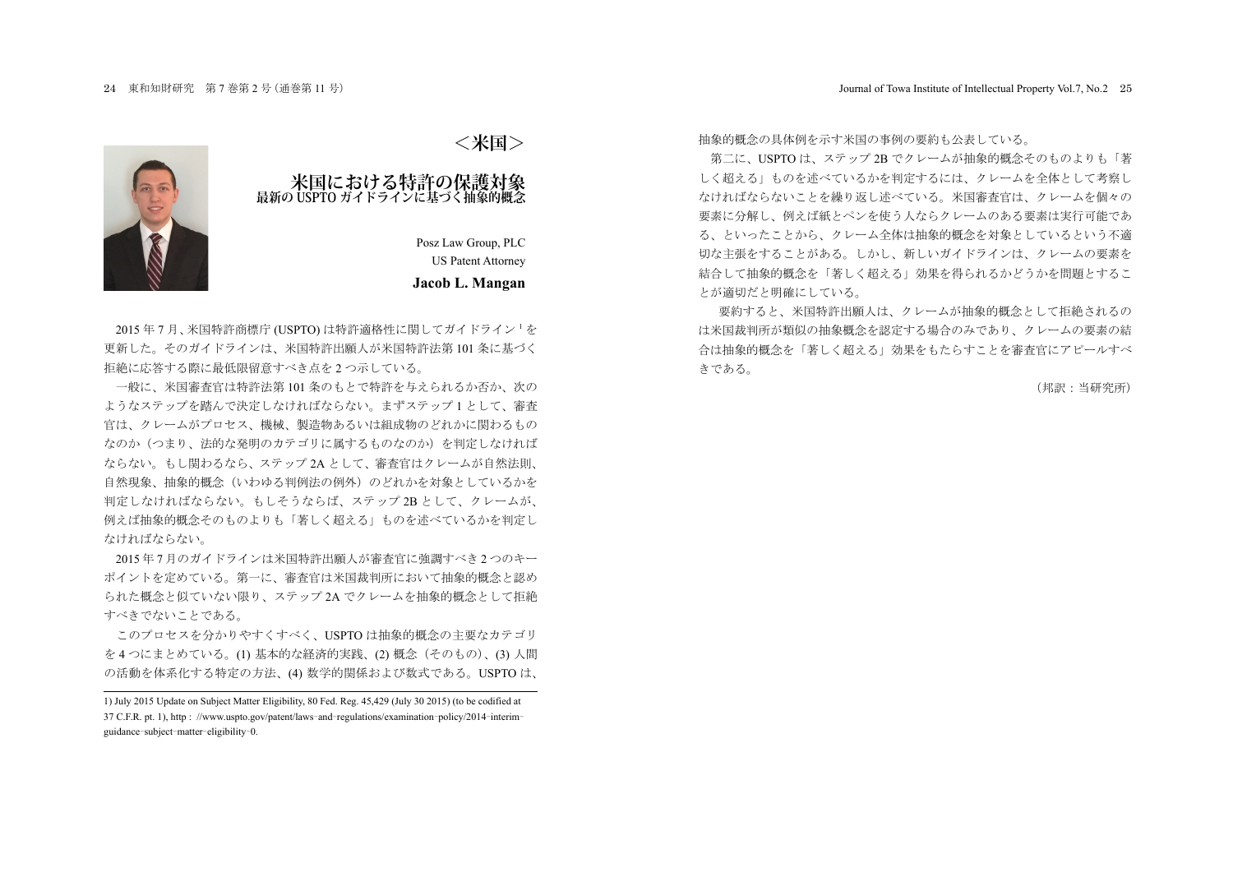

# **米国における特許の保護対象 最新の USPTO ガイドラインに基づく抽象的概念**

Posz Law Group, PLC US Patent Attorney

### **Jacob L. Mangan**

2015年7月、米国特許商標庁 (USPTO) は特許適格性に関してガイドライン<sup>1</sup>を **更新した。そのガイドラインは、米国特許出願人が米国特許法第 101 条に基づく** 拒絶に応答する際に最低限留意すべき点を2つ示している。

一般に、米国審査官は特許法第101 条のもとで特許を与えられるか否か、次の ようなステップを踏んで決定しなければならない。まずステップ1として、審査 官は、クレームがプロセス、機械、製造物あるいは組成物のどれかに関わるもの なのか(つまり、法的な発明のカテゴリに属するものなのか)を判定しなければ ならない。もし関わるなら、ステップ2Aとして、審査官はクレームが自然法則、 自然現象.抽象的概念(いわゆる判例法の例外)のどれかを対象としているかを 判定しなければならない。もしそうならば、ステップ 2B として、クレームが、 例えば抽象的概念そのものよりも「著しく超える」ものを述べているかを判定し なければならない。

2015年7月のガイドラインは米国特許出願人が審査官に強調すべき2つのキー ポイントを定めている。第一に、審査官は米国裁判所において抽象的概念と認め られた概念と似ていない限り、ステップ2A でクレームを抽象的概念として拒絶 すべきでないことである。

このプロセスを分かりやすくすべく. USPTOは抽象的概念の主要なカテゴリ を4つにまとめている。(1)基本的な経済的実践、(2)概念 (そのもの)、(3)人間 の活動を体系化する特定の方法、(4) 数学的関係および数式である。USPTOは、

ࠋࡿ࠸࡚ࡋ韭බࡶせ⣙ࡢࡢ⡿ᅜࡍ♧ࢆලయࡢⓗᴫᛕ㇟ᢳ**> 米国<**

第二に、USPTOは、ステップ2B でクレームが抽象的概念そのものよりも「著 しく超える」ものを述べているかを判定するには、クレームを全体として考察し なければならないことを繰り返し述べている。米国審査官は、クレームを個々の 要素に分解し、例えば紙とペンを使う人ならクレームのある要素は実行可能であ る、といったことから、クレーム全体は抽象的概念を対象としているという不適 切な主張をすることがある。しかし、新しいガイドラインは、クレームの要素を 結合して抽象的概念を「著しく超える」効果を得られるかどうかを問題とするこ とが適切だと明確にしている。

要約すると、米国特許出願人は、クレームが抽象的概念として拒絶されるの は米国裁判所が類似の抽象概念を認定する場合のみであり、クレームの要素の結 合は抽象的概念を「著しく超える」効果をもたらすことを審査官にアピールすべ きである。

(邦訳:当研究所)

<sup>1)</sup> July 2015 Update on Subject Matter Eligibility, 80 Fed. Reg. 45,429 (July 30 2015) (to be codified at <sup>37</sup> C.F.R. pt. 1), http : //www.uspto.gov/patent/laws-and-regulations/examination-policy/2014- interimguidance-subject-matter-eligibility-0.